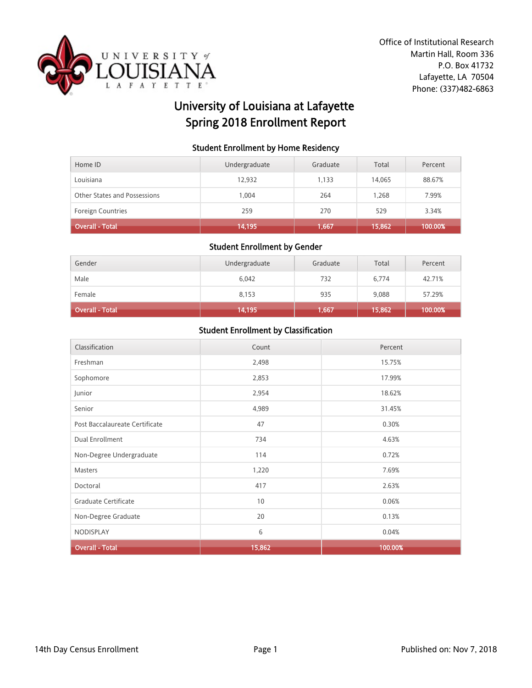

# University of Louisiana at Lafayette Spring 2018 Enrollment Report

### Student Enrollment by Home Residency

| Home ID                      | Undergraduate | Graduate | Total  | Percent |
|------------------------------|---------------|----------|--------|---------|
| Louisiana                    | 12,932        | 1.133    | 14,065 | 88.67%  |
| Other States and Possessions | 0.004         | 264      | 1.268  | 7.99%   |
| <b>Foreign Countries</b>     | 259           | 270      | 529    | 3.34%   |
| Overall - Total              | 14,195        | 1,667    | 15,862 | 100.00% |

#### Student Enrollment by Gender

| Gender          | Undergraduate | Graduate | Total  | Percent |
|-----------------|---------------|----------|--------|---------|
| Male            | 6,042         | 732      | 6,774  | 42.71%  |
| Female          | 8,153         | 935      | 9,088  | 57.29%  |
| Overall - Total | 14,195        | 1,667    | 15,862 | 100.00% |

| Classification                 | Count  | Percent |
|--------------------------------|--------|---------|
| Freshman                       | 2,498  | 15.75%  |
| Sophomore                      | 2,853  | 17.99%  |
| Junior                         | 2,954  | 18.62%  |
| Senior                         | 4,989  | 31.45%  |
| Post Baccalaureate Certificate | 47     | 0.30%   |
| Dual Enrollment                | 734    | 4.63%   |
| Non-Degree Undergraduate       | 114    | 0.72%   |
| Masters                        | 1,220  | 7.69%   |
| Doctoral                       | 417    | 2.63%   |
| Graduate Certificate           | 10     | 0.06%   |
| Non-Degree Graduate            | 20     | 0.13%   |
| NODISPLAY                      | 6      | 0.04%   |
| <b>Overall - Total</b>         | 15,862 | 100.00% |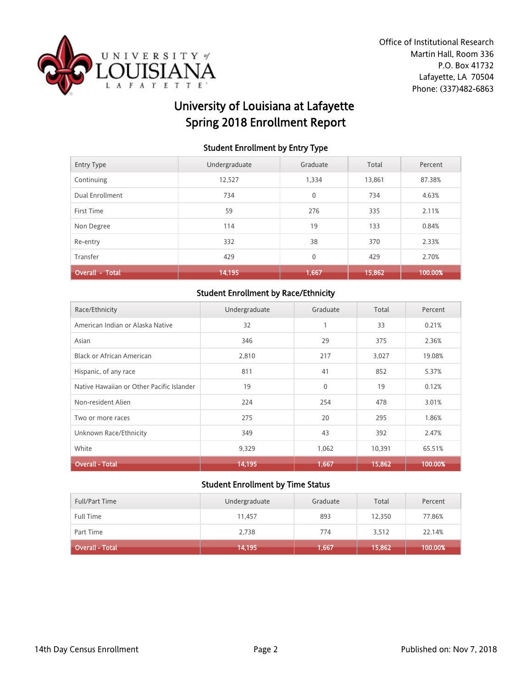

# University of Louisiana at Lafayette Spring 2018 Enrollment Report

### Student Enrollment by Entry Type

| <b>Entry Type</b>      | Undergraduate | Graduate     | Total  | Percent |
|------------------------|---------------|--------------|--------|---------|
| Continuing             | 12,527        | 1,334        | 13,861 | 87.38%  |
| Dual Enrollment        | 734           | 0            | 734    | 4.63%   |
| First Time             | 59            | 276          | 335    | 2.11%   |
| Non Degree             | 114           | 19           | 133    | 0.84%   |
| Re-entry               | 332           | 38           | 370    | 2.33%   |
| Transfer               | 429           | $\mathbf{0}$ | 429    | 2.70%   |
| <b>Overall - Total</b> | 14,195        | 1,667        | 15,862 | 100.00% |

# Student Enrollment by Race/Ethnicity

| Race/Ethnicity                            | Undergraduate | Graduate     | Total  | Percent |
|-------------------------------------------|---------------|--------------|--------|---------|
| American Indian or Alaska Native          | 32            |              | 33     | 0.21%   |
| Asian                                     | 346           | 29           | 375    | 2.36%   |
| <b>Black or African American</b>          | 2,810         | 217          | 3,027  | 19.08%  |
| Hispanic, of any race                     | 811           | 41           | 852    | 5.37%   |
| Native Hawaiian or Other Pacific Islander | 19            | $\mathbf{0}$ | 19     | 0.12%   |
| Non-resident Alien                        | 224           | 254          | 478    | 3.01%   |
| Two or more races                         | 275           | 20           | 295    | 1.86%   |
| Unknown Race/Ethnicity                    | 349           | 43           | 392    | 2.47%   |
| White                                     | 9,329         | 1,062        | 10,391 | 65.51%  |
| <b>Overall - Total</b>                    | 14,195        | 1,667        | 15,862 | 100.00% |

| <b>Full/Part Time</b> | Undergraduate | Graduate | Total  | Percent |
|-----------------------|---------------|----------|--------|---------|
| Full Time             | 11.457        | 893      | 12,350 | 77.86%  |
| Part Time             | 2,738         | 774      | 3,512  | 22.14%  |
| Overall - Total       | 14,195        | 1,667    | 15,862 | 100.00% |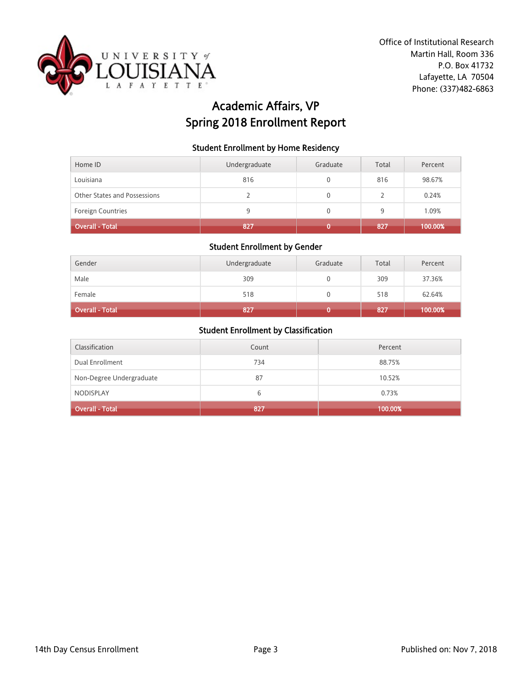

# Academic Affairs, VP Spring 2018 Enrollment Report

### Student Enrollment by Home Residency

| Home ID                      | Undergraduate | Graduate | Total | Percent |
|------------------------------|---------------|----------|-------|---------|
| Louisiana                    | 816           |          | 816   | 98.67%  |
| Other States and Possessions |               |          |       | 0.24%   |
| <b>Foreign Countries</b>     | 9             |          | 9     | 1.09%   |
| <b>Overall - Total</b>       | 827           |          | 827   | 100.00% |

#### Student Enrollment by Gender

| Gender                 | Undergraduate | Graduate | Total | Percent |
|------------------------|---------------|----------|-------|---------|
| Male                   | 309           |          | 309   | 37.36%  |
| Female                 | 518           |          | 518   | 62.64%  |
| <b>Overall - Total</b> | 827           |          | 827   | 100.00% |

| Classification           | Count | Percent |
|--------------------------|-------|---------|
| Dual Enrollment          | 734   | 88.75%  |
| Non-Degree Undergraduate | 87    | 10.52%  |
| <b>NODISPLAY</b>         | 6     | 0.73%   |
| <b>Overall - Total</b>   | 827   | 100.00% |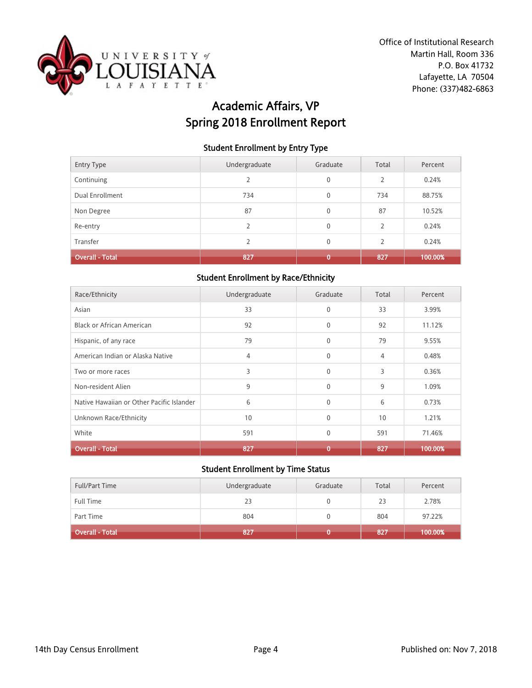

# Academic Affairs, VP Spring 2018 Enrollment Report

### Student Enrollment by Entry Type

| <b>Entry Type</b>      | Undergraduate | Graduate     | Total                    | Percent |
|------------------------|---------------|--------------|--------------------------|---------|
| Continuing             | 2             | $\mathbf{0}$ | $\overline{2}$           | 0.24%   |
| Dual Enrollment        | 734           | $\mathbf{0}$ | 734                      | 88.75%  |
| Non Degree             | 87            | $\mathbf{0}$ | 87                       | 10.52%  |
| Re-entry               | $\mathcal{P}$ | $\mathbf{0}$ | $\overline{\phantom{a}}$ | 0.24%   |
| Transfer               | $\mathcal{P}$ | $\mathbf{0}$ | $\overline{\phantom{a}}$ | 0.24%   |
| <b>Overall - Total</b> | 827           | 0            | 827                      | 100.00% |

### Student Enrollment by Race/Ethnicity

| Race/Ethnicity                            | Undergraduate | Graduate     | Total | Percent |
|-------------------------------------------|---------------|--------------|-------|---------|
| Asian                                     | 33            | $\mathbf{0}$ | 33    | 3.99%   |
| <b>Black or African American</b>          | 92            | $\mathbf{0}$ | 92    | 11.12%  |
| Hispanic, of any race                     | 79            | $\mathbf{0}$ | 79    | 9.55%   |
| American Indian or Alaska Native          | 4             | $\mathbf 0$  | 4     | 0.48%   |
| Two or more races                         | 3             | $\mathbf{0}$ | 3     | 0.36%   |
| Non-resident Alien                        | 9             | $\Omega$     | 9     | 1.09%   |
| Native Hawaiian or Other Pacific Islander | 6             | $\mathbf{0}$ | 6     | 0.73%   |
| Unknown Race/Ethnicity                    | 10            | $\Omega$     | 10    | 1.21%   |
| White                                     | 591           | $\mathbf{0}$ | 591   | 71.46%  |
| <b>Overall - Total</b>                    | 827           | 0            | 827   | 100.00% |

| <b>Full/Part Time</b>  | Undergraduate | Graduate | Total | Percent |
|------------------------|---------------|----------|-------|---------|
| Full Time              | 23            |          | 23    | 2.78%   |
| Part Time              | 804           |          | 804   | 97.22%  |
| <b>Overall - Total</b> | 827           |          | 1827  | 100.00% |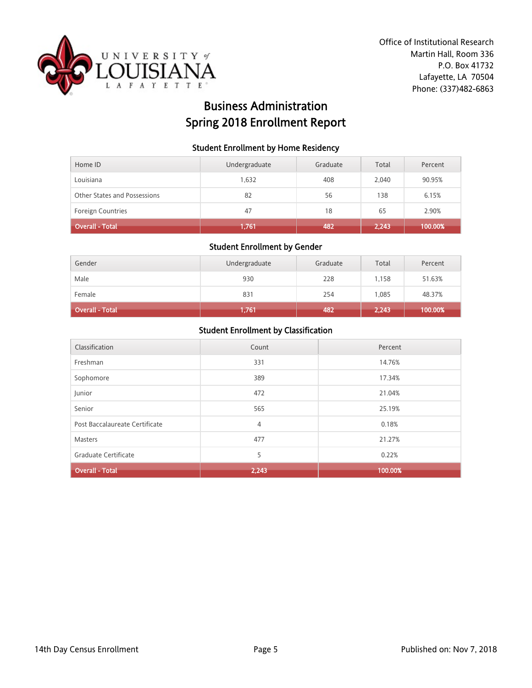

# Business Administration Spring 2018 Enrollment Report

### Student Enrollment by Home Residency

| Home ID                      | Undergraduate | Graduate | Total | Percent |
|------------------------------|---------------|----------|-------|---------|
| Louisiana                    | 1.632         | 408      | 2.040 | 90.95%  |
| Other States and Possessions | 82            | 56       | 138   | 6.15%   |
| <b>Foreign Countries</b>     | 47            | 18       | 65    | 2.90%   |
| <b>Overall - Total</b>       | 1,761         | 482      | 2,243 | 100.00% |

#### Student Enrollment by Gender

| Gender                 | Undergraduate | Graduate | Total | Percent |
|------------------------|---------------|----------|-------|---------|
| Male                   | 930           | 228      | 1.158 | 51.63%  |
| Female                 | 831           | 254      | 1.085 | 48.37%  |
| <b>Overall - Total</b> | 1,761         | 482      | 2,243 | 100.00% |

| Classification                 | Count | Percent |
|--------------------------------|-------|---------|
| Freshman                       | 331   | 14.76%  |
| Sophomore                      | 389   | 17.34%  |
| Junior                         | 472   | 21.04%  |
| Senior                         | 565   | 25.19%  |
| Post Baccalaureate Certificate | 4     | 0.18%   |
| <b>Masters</b>                 | 477   | 21.27%  |
| Graduate Certificate           | 5     | 0.22%   |
| <b>Overall - Total</b>         | 2,243 | 100.00% |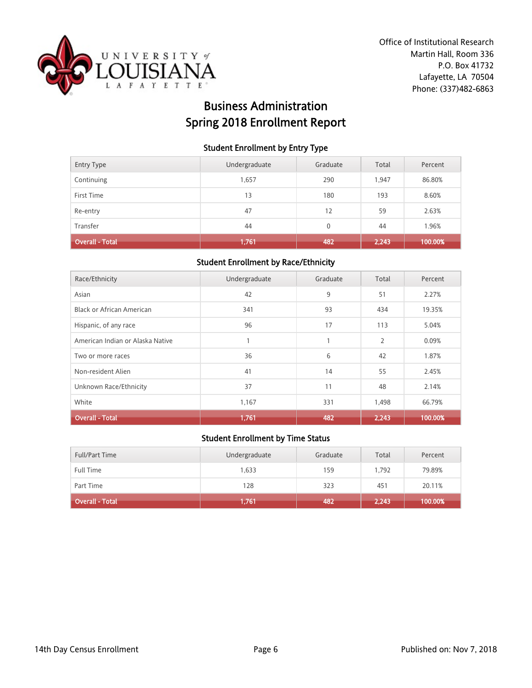

# Business Administration Spring 2018 Enrollment Report

### Student Enrollment by Entry Type

| <b>Entry Type</b>      | Undergraduate | Graduate | Total | Percent |
|------------------------|---------------|----------|-------|---------|
| Continuing             | 1,657         | 290      | 1.947 | 86.80%  |
| First Time             | 13            | 180      | 193   | 8.60%   |
| Re-entry               | 47            | 12       | 59    | 2.63%   |
| Transfer               | 44            | 0        | 44    | 1.96%   |
| <b>Overall - Total</b> | 1,761         | 482      | 2,243 | 100.00% |

### Student Enrollment by Race/Ethnicity

| Race/Ethnicity                   | Undergraduate | Graduate | Total          | Percent |
|----------------------------------|---------------|----------|----------------|---------|
| Asian                            | 42            | 9        | 51             | 2.27%   |
| Black or African American        | 341           | 93       | 434            | 19.35%  |
| Hispanic, of any race            | 96            | 17       | 113            | 5.04%   |
| American Indian or Alaska Native |               | 1        | $\overline{2}$ | 0.09%   |
| Two or more races                | 36            | 6        | 42             | 1.87%   |
| Non-resident Alien               | 41            | 14       | 55             | 2.45%   |
| Unknown Race/Ethnicity           | 37            | 11       | 48             | 2.14%   |
| White                            | 1,167         | 331      | 1,498          | 66.79%  |
| <b>Overall - Total</b>           | 1,761         | 482      | 2,243          | 100.00% |

| <b>Full/Part Time</b> | Undergraduate | Graduate | Total | Percent |
|-----------------------|---------------|----------|-------|---------|
| Full Time             | 1,633         | 159      | 1.792 | 79.89%  |
| Part Time             | 128           | 323      | 451   | 20.11%  |
| Overall - Total       | 1,761         | 482      | 2,243 | 100.00% |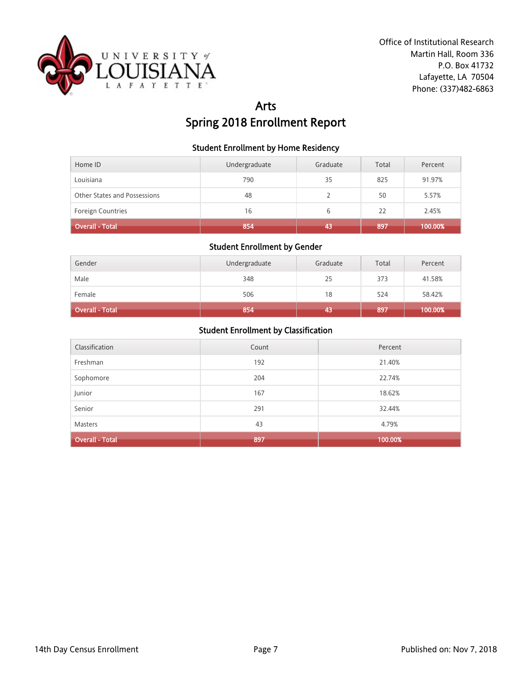

# Arts Spring 2018 Enrollment Report

### Student Enrollment by Home Residency

| Home ID                      | Undergraduate | Graduate | Total | Percent |
|------------------------------|---------------|----------|-------|---------|
| Louisiana                    | 790           | 35       | 825   | 91.97%  |
| Other States and Possessions | 48            |          | 50    | 5.57%   |
| Foreign Countries            | 16            | 6        | 22    | 2.45%   |
| Overall - Total              | 854           | 43       | 897   | 100.00% |

# Student Enrollment by Gender

| Gender          | Undergraduate | Graduate | Total | Percent |
|-----------------|---------------|----------|-------|---------|
| Male            | 348           | 25       | 373   | 41.58%  |
| Female          | 506           | 18       | 524   | 58.42%  |
| Overall - Total | 854           | 43       | 897   | 100.00% |

| Classification         | Count | Percent |
|------------------------|-------|---------|
| Freshman               | 192   | 21.40%  |
| Sophomore              | 204   | 22.74%  |
| Junior                 | 167   | 18.62%  |
| Senior                 | 291   | 32.44%  |
| Masters                | 43    | 4.79%   |
| <b>Overall - Total</b> | 897   | 100.00% |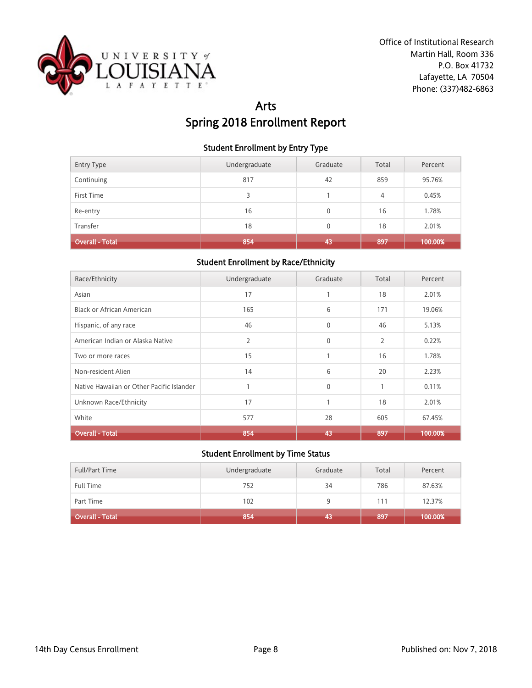

# Arts Spring 2018 Enrollment Report

### Student Enrollment by Entry Type

| <b>Entry Type</b> | Undergraduate | Graduate | Total | Percent |
|-------------------|---------------|----------|-------|---------|
| Continuing        | 817           | 42       | 859   | 95.76%  |
| First Time        | 3             |          | 4     | 0.45%   |
| Re-entry          | 16            | 0        | 16    | 1.78%   |
| Transfer          | 18            | 0        | 18    | 2.01%   |
| Overall - Total   | 854           | 43       | 897   | 100.00% |

### Student Enrollment by Race/Ethnicity

| Race/Ethnicity                            | Undergraduate | Graduate     | Total          | Percent |
|-------------------------------------------|---------------|--------------|----------------|---------|
| Asian                                     | 17            | 1            | 18             | 2.01%   |
| Black or African American                 | 165           | 6            | 171            | 19.06%  |
| Hispanic, of any race                     | 46            | $\mathbf{0}$ | 46             | 5.13%   |
| American Indian or Alaska Native          | 2             | $\mathbf{0}$ | $\overline{2}$ | 0.22%   |
| Two or more races                         | 15            | 1            | 16             | 1.78%   |
| Non-resident Alien                        | 14            | 6            | 20             | 2.23%   |
| Native Hawaiian or Other Pacific Islander |               | $\mathbf{0}$ | 1              | 0.11%   |
| Unknown Race/Ethnicity                    | 17            | $\mathbf{1}$ | 18             | 2.01%   |
| White                                     | 577           | 28           | 605            | 67.45%  |
| <b>Overall - Total</b>                    | 854           | 43           | 897            | 100.00% |

| <b>Full/Part Time</b> | Undergraduate | Graduate | Total | Percent |
|-----------------------|---------------|----------|-------|---------|
| <b>Full Time</b>      | 752           | 34       | 786   | 87.63%  |
| Part Time             | 102           |          | 111   | 12.37%  |
| Overall - Total       | 854           | 43       | 897   | 100.00% |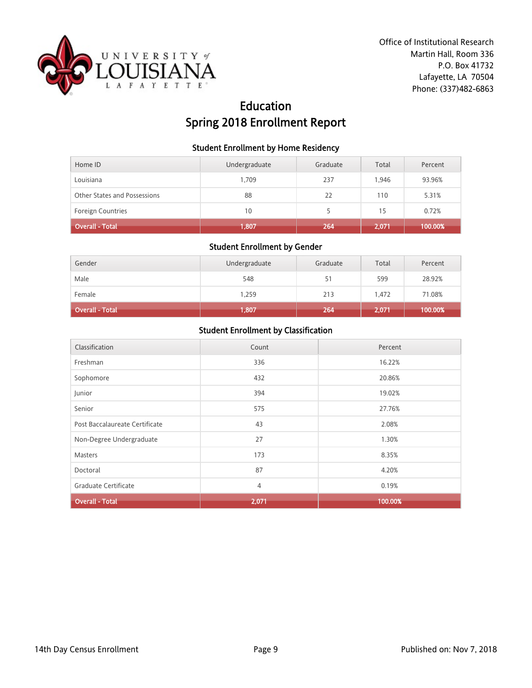

# Education Spring 2018 Enrollment Report

### Student Enrollment by Home Residency

| Home ID                      | Undergraduate | Graduate | Total | Percent |
|------------------------------|---------------|----------|-------|---------|
| Louisiana                    | 1.709         | 237      | 1.946 | 93.96%  |
| Other States and Possessions | 88            | 22       | 110   | 5.31%   |
| <b>Foreign Countries</b>     | 10            |          | 15    | 0.72%   |
| Overall - Total              | 1,807         | 264      | 2.071 | 100.00% |

#### Student Enrollment by Gender

| Gender                 | Undergraduate | Graduate | Total | Percent |
|------------------------|---------------|----------|-------|---------|
| Male                   | 548           | 51       | 599   | 28.92%  |
| Female                 | 1,259         | 213      | 1.472 | 71.08%  |
| <b>Overall - Total</b> | 1,807         | 264      | 2,071 | 100.00% |

| Classification                 | Count | Percent |
|--------------------------------|-------|---------|
| Freshman                       | 336   | 16.22%  |
| Sophomore                      | 432   | 20.86%  |
| Junior                         | 394   | 19.02%  |
| Senior                         | 575   | 27.76%  |
| Post Baccalaureate Certificate | 43    | 2.08%   |
| Non-Degree Undergraduate       | 27    | 1.30%   |
| <b>Masters</b>                 | 173   | 8.35%   |
| Doctoral                       | 87    | 4.20%   |
| Graduate Certificate           | 4     | 0.19%   |
| <b>Overall - Total</b>         | 2,071 | 100.00% |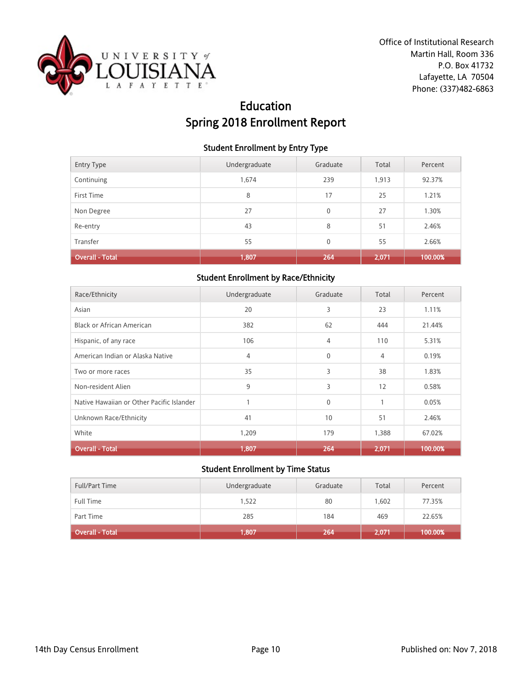

# Education Spring 2018 Enrollment Report

### Student Enrollment by Entry Type

| <b>Entry Type</b>      | Undergraduate | Graduate     | Total | Percent |
|------------------------|---------------|--------------|-------|---------|
| Continuing             | 1,674         | 239          | 1,913 | 92.37%  |
| First Time             | 8             | 17           | 25    | 1.21%   |
| Non Degree             | 27            | $\mathbf{0}$ | 27    | 1.30%   |
| Re-entry               | 43            | 8            | 51    | 2.46%   |
| Transfer               | 55            | $\mathbf{0}$ | 55    | 2.66%   |
| <b>Overall - Total</b> | 1,807         | 264          | 2,071 | 100.00% |

### Student Enrollment by Race/Ethnicity

| Race/Ethnicity                            | Undergraduate | Graduate     | Total        | Percent |
|-------------------------------------------|---------------|--------------|--------------|---------|
| Asian                                     | 20            | 3            | 23           | 1.11%   |
| <b>Black or African American</b>          | 382           | 62           | 444          | 21.44%  |
| Hispanic, of any race                     | 106           | 4            | 110          | 5.31%   |
| American Indian or Alaska Native          | 4             | $\mathbf{0}$ | 4            | 0.19%   |
| Two or more races                         | 35            | 3            | 38           | 1.83%   |
| Non-resident Alien                        | 9             | 3            | 12           | 0.58%   |
| Native Hawaiian or Other Pacific Islander |               | $\mathbf{0}$ | $\mathbf{1}$ | 0.05%   |
| Unknown Race/Ethnicity                    | 41            | 10           | 51           | 2.46%   |
| White                                     | 1,209         | 179          | 1,388        | 67.02%  |
| Overall - Total                           | 1,807         | 264          | 2,071        | 100.00% |

| <b>Full/Part Time</b> | Undergraduate | Graduate | Total | Percent |
|-----------------------|---------------|----------|-------|---------|
| <b>Full Time</b>      | 1,522         | 80       | 1.602 | 77.35%  |
| Part Time             | 285           | 184      | 469   | 22.65%  |
| Overall - Total       | 1,807         | 264      | 2,071 | 100.00% |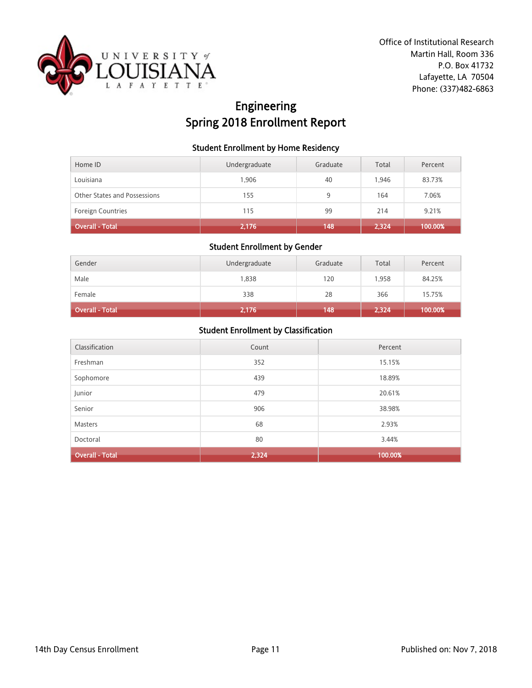

# Engineering Spring 2018 Enrollment Report

### Student Enrollment by Home Residency

| Home ID                      | Undergraduate | Graduate | Total | Percent |
|------------------------------|---------------|----------|-------|---------|
| Louisiana                    | 1.906         | 40       | 1.946 | 83.73%  |
| Other States and Possessions | 155           | 9        | 164   | 7.06%   |
| <b>Foreign Countries</b>     | 115           | 99       | 214   | 9.21%   |
| <b>Overall - Total</b>       | 2,176         | 148      | 2,324 | 100.00% |

#### Student Enrollment by Gender

| Gender          | Undergraduate | Graduate | Total | Percent |
|-----------------|---------------|----------|-------|---------|
| Male            | 1,838         | 120      | 1.958 | 84.25%  |
| Female          | 338           | 28       | 366   | 15.75%  |
| Overall - Total | 2,176         | 148      | 2,324 | 100.00% |

| Classification         | Count | Percent |
|------------------------|-------|---------|
| Freshman               | 352   | 15.15%  |
| Sophomore              | 439   | 18.89%  |
| Junior                 | 479   | 20.61%  |
| Senior                 | 906   | 38.98%  |
| Masters                | 68    | 2.93%   |
| Doctoral               | 80    | 3.44%   |
| <b>Overall - Total</b> | 2,324 | 100.00% |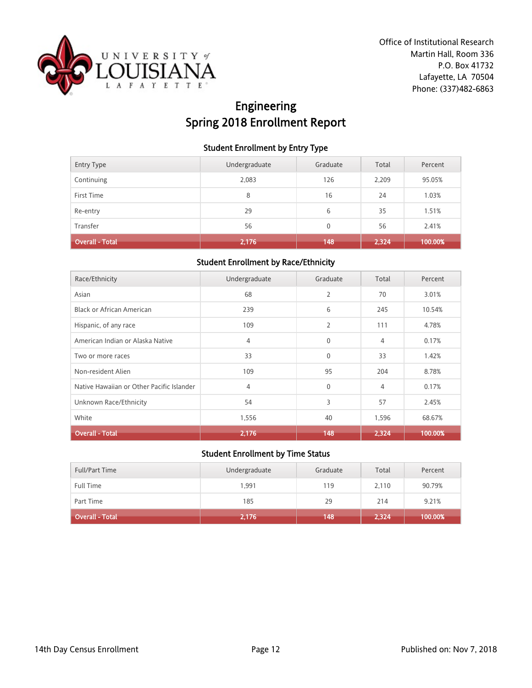

# Engineering Spring 2018 Enrollment Report

### Student Enrollment by Entry Type

| <b>Entry Type</b> | Undergraduate | Graduate | Total | Percent |
|-------------------|---------------|----------|-------|---------|
| Continuing        | 2,083         | 126      | 2,209 | 95.05%  |
| First Time        | 8             | 16       | 24    | 1.03%   |
| Re-entry          | 29            | 6        | 35    | 1.51%   |
| Transfer          | 56            | 0        | 56    | 2.41%   |
| Overall - Total   | 2,176         | 148      | 2,324 | 100.00% |

### Student Enrollment by Race/Ethnicity

| Race/Ethnicity                            | Undergraduate | Graduate       | Total          | Percent |
|-------------------------------------------|---------------|----------------|----------------|---------|
| Asian                                     | 68            | $\overline{2}$ | 70             | 3.01%   |
| Black or African American                 | 239           | 6              | 245            | 10.54%  |
| Hispanic, of any race                     | 109           | 2              | 111            | 4.78%   |
| American Indian or Alaska Native          | 4             | $\mathbf{0}$   | $\overline{4}$ | 0.17%   |
| Two or more races                         | 33            | $\mathbf{0}$   | 33             | 1.42%   |
| Non-resident Alien                        | 109           | 95             | 204            | 8.78%   |
| Native Hawaiian or Other Pacific Islander | 4             | $\mathbf{0}$   | 4              | 0.17%   |
| Unknown Race/Ethnicity                    | 54            | 3              | 57             | 2.45%   |
| White                                     | 1,556         | 40             | 1,596          | 68.67%  |
| <b>Overall - Total</b>                    | 2,176         | 148            | 2.324          | 100.00% |

| <b>Full/Part Time</b>  | Undergraduate | Graduate | Total | Percent |
|------------------------|---------------|----------|-------|---------|
| <b>Full Time</b>       | 1,991         | 119      | 2,110 | 90.79%  |
| Part Time              | 185           | 29       | 214   | 9.21%   |
| <b>Overall - Total</b> | 2,176         | 148      | 2,324 | 100.00% |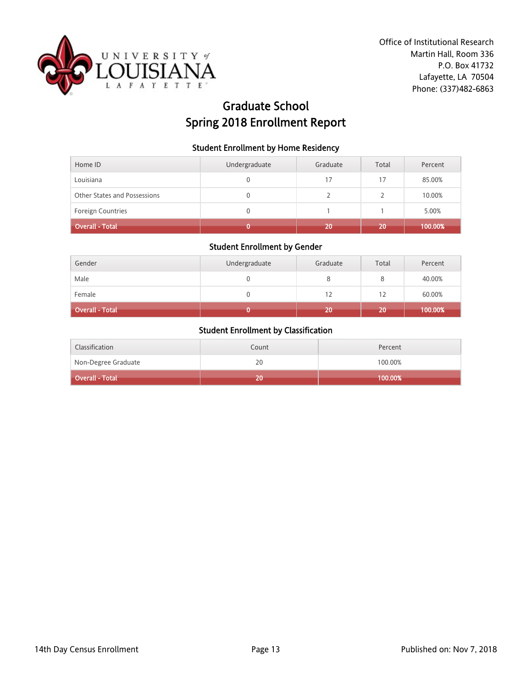

# Graduate School Spring 2018 Enrollment Report

#### Student Enrollment by Home Residency

| Home ID                      | Undergraduate | Graduate | Total | Percent |
|------------------------------|---------------|----------|-------|---------|
| Louisiana                    | 0             | 17       | 17    | 85.00%  |
| Other States and Possessions | 0             |          |       | 10.00%  |
| <b>Foreign Countries</b>     | 0             |          |       | 5.00%   |
| <b>Overall - Total</b>       |               | 20       | 20    | 100.00% |

#### Student Enrollment by Gender

| Gender          | Undergraduate | Graduate | Total | Percent |
|-----------------|---------------|----------|-------|---------|
| Male            |               |          |       | 40.00%  |
| Female          |               | 12       | 12    | 60.00%  |
| Overall - Total |               | 20       | 20    | 100.00% |

| Classification      | Count | Percent    |
|---------------------|-------|------------|
| Non-Degree Graduate | 20    | 100.00%    |
| Overall - Total     | 20    | $100.00\%$ |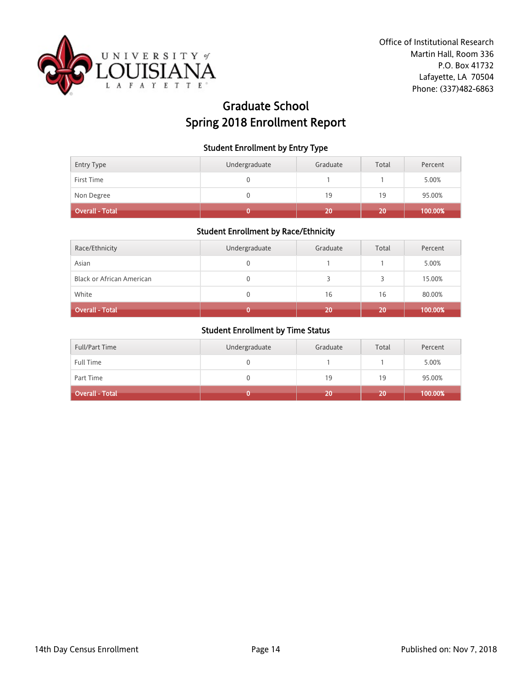

# Graduate School Spring 2018 Enrollment Report

#### Student Enrollment by Entry Type

| Entry Type             | Undergraduate | Graduate | Total | Percent |
|------------------------|---------------|----------|-------|---------|
| First Time             |               |          |       | 5.00%   |
| Non Degree             |               | 19       | 19    | 95.00%  |
| <b>Overall - Total</b> |               | 20       | 20    | 100.00% |

# Student Enrollment by Race/Ethnicity

| Race/Ethnicity                   | Undergraduate | Graduate | Total | Percent |
|----------------------------------|---------------|----------|-------|---------|
| Asian                            |               |          |       | 5.00%   |
| <b>Black or African American</b> |               |          |       | 15.00%  |
| White                            |               | 16       | 16    | 80.00%  |
| <b>Overall - Total</b>           |               | 20       | 20    | 100.00% |

| <b>Full/Part Time</b>  | Undergraduate | Graduate | Total | Percent |
|------------------------|---------------|----------|-------|---------|
| Full Time              |               |          |       | 5.00%   |
| Part Time              |               | 19       | 19    | 95.00%  |
| <b>Overall - Total</b> |               | 20       | 20    | 100.00% |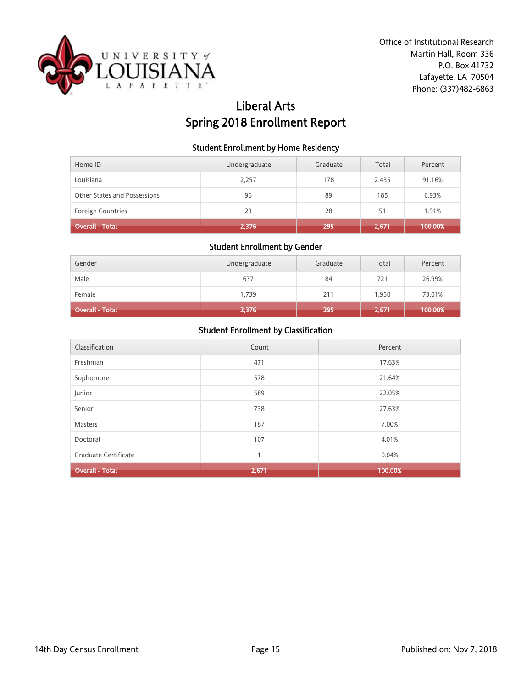

# Liberal Arts Spring 2018 Enrollment Report

#### Student Enrollment by Home Residency

| Home ID                      | Undergraduate | Graduate | Total | Percent |
|------------------------------|---------------|----------|-------|---------|
| Louisiana                    | 2.257         | 178      | 2.435 | 91.16%  |
| Other States and Possessions | 96            | 89       | 185   | 6.93%   |
| <b>Foreign Countries</b>     | 23            | 28       | 51    | 1.91%   |
| <b>Overall - Total</b>       | 2,376         | 295      | 2,671 | 100.00% |

# Student Enrollment by Gender

| Gender                 | Undergraduate | Graduate | Total | Percent |
|------------------------|---------------|----------|-------|---------|
| Male                   | 637           | 84       | 721   | 26.99%  |
| Female                 | 1,739         | 211      | 1.950 | 73.01%  |
| <b>Overall - Total</b> | 2,376         | 295      | 2,671 | 100.00% |

| Classification         | Count | Percent |
|------------------------|-------|---------|
| Freshman               | 471   | 17.63%  |
| Sophomore              | 578   | 21.64%  |
| Junior                 | 589   | 22.05%  |
| Senior                 | 738   | 27.63%  |
| <b>Masters</b>         | 187   | 7.00%   |
| Doctoral               | 107   | 4.01%   |
| Graduate Certificate   | 1     | 0.04%   |
| <b>Overall - Total</b> | 2,671 | 100.00% |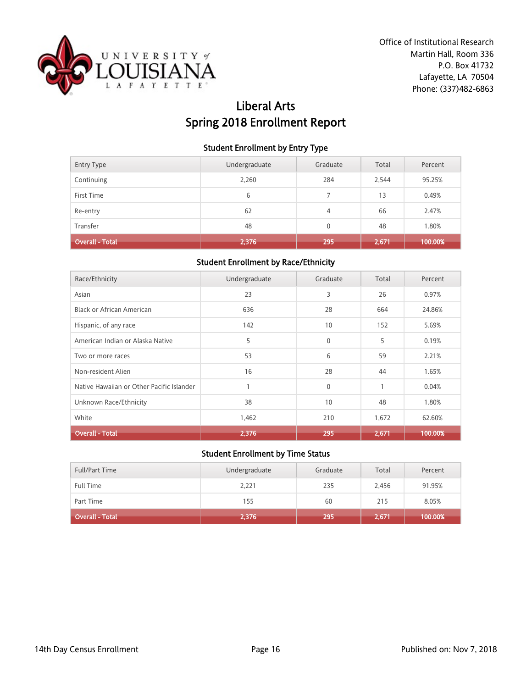

# Liberal Arts Spring 2018 Enrollment Report

### Student Enrollment by Entry Type

| <b>Entry Type</b>      | Undergraduate | Graduate | Total | Percent |
|------------------------|---------------|----------|-------|---------|
| Continuing             | 2,260         | 284      | 2,544 | 95.25%  |
| First Time             | 6             |          | 13    | 0.49%   |
| Re-entry               | 62            | 4        | 66    | 2.47%   |
| Transfer               | 48            | 0        | 48    | 1.80%   |
| <b>Overall - Total</b> | 2,376         | 295      | 2,671 | 100.00% |

### Student Enrollment by Race/Ethnicity

| Race/Ethnicity                            | Undergraduate | Graduate     | Total | Percent |
|-------------------------------------------|---------------|--------------|-------|---------|
| Asian                                     | 23            | 3            | 26    | 0.97%   |
| Black or African American                 | 636           | 28           | 664   | 24.86%  |
| Hispanic, of any race                     | 142           | 10           | 152   | 5.69%   |
| American Indian or Alaska Native          | 5             | $\mathbf{0}$ | 5     | 0.19%   |
| Two or more races                         | 53            | 6            | 59    | 2.21%   |
| Non-resident Alien                        | 16            | 28           | 44    | 1.65%   |
| Native Hawaiian or Other Pacific Islander |               | $\mathbf{0}$ | 1     | 0.04%   |
| Unknown Race/Ethnicity                    | 38            | 10           | 48    | 1.80%   |
| White                                     | 1,462         | 210          | 1,672 | 62.60%  |
| <b>Overall - Total</b>                    | 2,376         | 295          | 2,671 | 100.00% |

| <b>Full/Part Time</b> | Undergraduate | Graduate | Total | Percent |
|-----------------------|---------------|----------|-------|---------|
| <b>Full Time</b>      | 2,221         | 235      | 2,456 | 91.95%  |
| Part Time             | 155           | 60       | 215   | 8.05%   |
| Overall - Total       | 2,376         | 295      | 2,671 | 100.00% |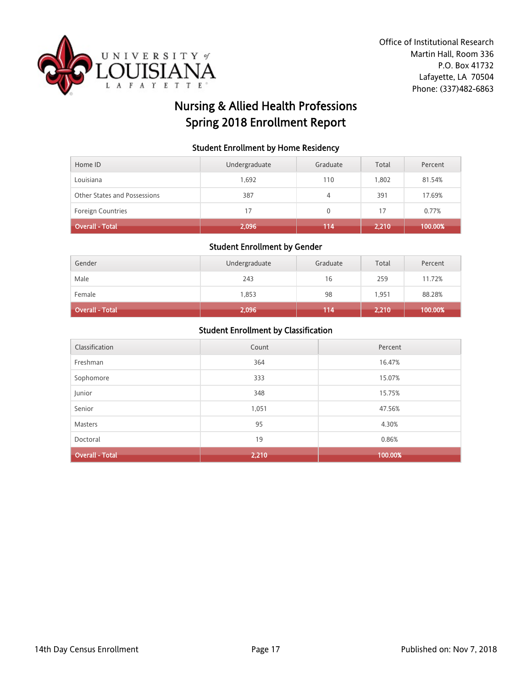

# Nursing & Allied Health Professions Spring 2018 Enrollment Report

#### Student Enrollment by Home Residency

| Home ID                      | Undergraduate | Graduate | Total | Percent |
|------------------------------|---------------|----------|-------|---------|
| Louisiana                    | 1,692         | 110      | 1.802 | 81.54%  |
| Other States and Possessions | 387           | 4        | 391   | 17.69%  |
| <b>Foreign Countries</b>     | 17            | 0        | 17    | 0.77%   |
| Overall - Total <sup> </sup> | 2,096         | 114      | 2,210 | 100.00% |

#### Student Enrollment by Gender

| Gender          | Undergraduate | Graduate | Total | Percent |
|-----------------|---------------|----------|-------|---------|
| Male            | 243           | 16       | 259   | 11.72%  |
| Female          | 1,853         | 98       | 1.951 | 88.28%  |
| Overall - Total | 2,096         | 114      | 2,210 | 100.00% |

| Classification         | Count | Percent |
|------------------------|-------|---------|
| Freshman               | 364   | 16.47%  |
| Sophomore              | 333   | 15.07%  |
| Junior                 | 348   | 15.75%  |
| Senior                 | 1,051 | 47.56%  |
| Masters                | 95    | 4.30%   |
| Doctoral               | 19    | 0.86%   |
| <b>Overall - Total</b> | 2,210 | 100.00% |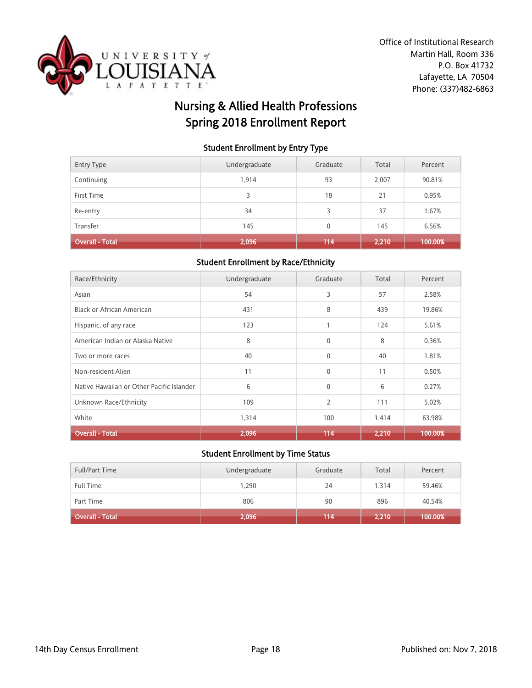

# Nursing & Allied Health Professions Spring 2018 Enrollment Report

### Student Enrollment by Entry Type

| Re-entry        | 34    | 3            | 37    | 1.67%   |
|-----------------|-------|--------------|-------|---------|
| Transfer        | 145   | $\mathbf{0}$ | 145   | 6.56%   |
| Overall - Total | 2,096 | 114          | 2,210 | 100.00% |

### Student Enrollment by Race/Ethnicity

| Race/Ethnicity                            | Undergraduate | Graduate       | Total | Percent |
|-------------------------------------------|---------------|----------------|-------|---------|
| Asian                                     | 54            | 3              | 57    | 2.58%   |
| Black or African American                 | 431           | 8              | 439   | 19.86%  |
| Hispanic, of any race                     | 123           | 1              | 124   | 5.61%   |
| American Indian or Alaska Native          | 8             | $\mathbf{0}$   | 8     | 0.36%   |
| Two or more races                         | 40            | $\mathbf{0}$   | 40    | 1.81%   |
| Non-resident Alien                        | 11            | $\mathbf{0}$   | 11    | 0.50%   |
| Native Hawaiian or Other Pacific Islander | 6             | $\mathbf{0}$   | 6     | 0.27%   |
| Unknown Race/Ethnicity                    | 109           | $\overline{2}$ | 111   | 5.02%   |
| White                                     | 1,314         | 100            | 1,414 | 63.98%  |
| <b>Overall - Total</b>                    | 2,096         | 114            | 2.210 | 100.00% |

| <b>Full/Part Time</b> | Undergraduate | Graduate | Total | Percent |
|-----------------------|---------------|----------|-------|---------|
| <b>Full Time</b>      | 1,290         | 24       | 1.314 | 59.46%  |
| Part Time             | 806           | 90       | 896   | 40.54%  |
| Overall - Total       | 2,096         | 114      | 2,210 | 100.00% |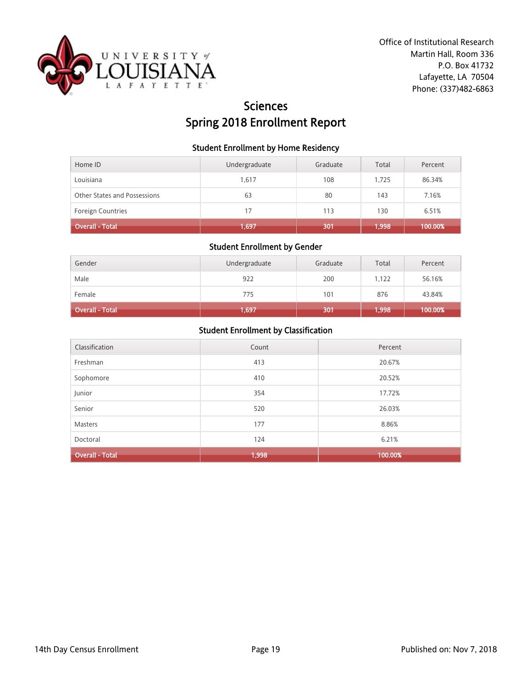

# **Sciences** Spring 2018 Enrollment Report

#### Student Enrollment by Home Residency

| Home ID                      | Undergraduate | Graduate | Total | Percent |
|------------------------------|---------------|----------|-------|---------|
| Louisiana                    | 1,617         | 108      | 1.725 | 86.34%  |
| Other States and Possessions | 63            | 80       | 143   | 7.16%   |
| <b>Foreign Countries</b>     | 17            | 113      | 130   | 6.51%   |
| Overall - Total              | 1,697         | 301      | 1,998 | 100.00% |

# Student Enrollment by Gender

| Gender                 | Undergraduate | Graduate | Total | Percent |
|------------------------|---------------|----------|-------|---------|
| Male                   | 922           | 200      | 1,122 | 56.16%  |
| Female                 | 775           | 101      | 876   | 43.84%  |
| <b>Overall - Total</b> | 1,697         | 301      | 1,998 | 100.00% |

| Classification         | Count | Percent |
|------------------------|-------|---------|
| Freshman               | 413   | 20.67%  |
| Sophomore              | 410   | 20.52%  |
| Junior                 | 354   | 17.72%  |
| Senior                 | 520   | 26.03%  |
| Masters                | 177   | 8.86%   |
| Doctoral               | 124   | 6.21%   |
| <b>Overall - Total</b> | 1,998 | 100.00% |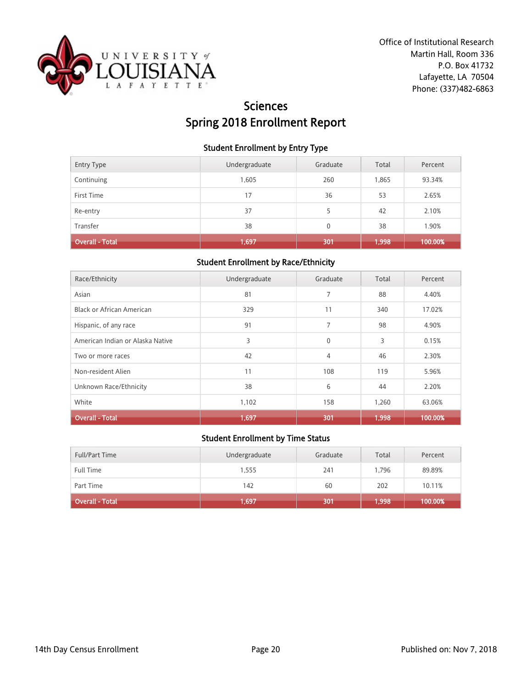

# **Sciences** Spring 2018 Enrollment Report

### Student Enrollment by Entry Type

| <b>Entry Type</b>      | Undergraduate | Graduate | Total | Percent |
|------------------------|---------------|----------|-------|---------|
| Continuing             | 1,605         | 260      | 1,865 | 93.34%  |
| First Time             | 17            | 36       | 53    | 2.65%   |
| Re-entry               | 37            |          | 42    | 2.10%   |
| Transfer               | 38            | 0        | 38    | 1.90%   |
| <b>Overall - Total</b> | 1,697         | 301      | 1,998 | 100.00% |

### Student Enrollment by Race/Ethnicity

| Race/Ethnicity                   | Undergraduate | Graduate     | Total | Percent |
|----------------------------------|---------------|--------------|-------|---------|
| Asian                            | 81            | 7            | 88    | 4.40%   |
| <b>Black or African American</b> | 329           | 11           | 340   | 17.02%  |
| Hispanic, of any race            | 91            | 7            | 98    | 4.90%   |
| American Indian or Alaska Native | 3             | $\mathbf{0}$ | 3     | 0.15%   |
| Two or more races                | 42            | 4            | 46    | 2.30%   |
| Non-resident Alien               | 11            | 108          | 119   | 5.96%   |
| Unknown Race/Ethnicity           | 38            | 6            | 44    | 2.20%   |
| White                            | 1,102         | 158          | 1,260 | 63.06%  |
| <b>Overall - Total</b>           | 1,697         | 301          | 1,998 | 100.00% |

| <b>Full/Part Time</b>  | Undergraduate | Graduate | Total   | Percent |
|------------------------|---------------|----------|---------|---------|
| Full Time              | 1,555         | 241      | 1.796   | 89.89%  |
| Part Time              | 142           | 60       | 202     | 10.11%  |
| <b>Overall - Total</b> | 1,697         | 301      | (1,998) | 100.00% |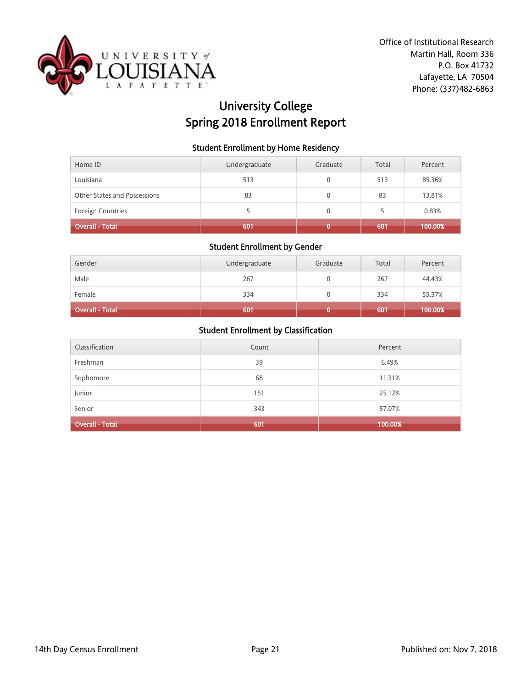

# University College Spring 2018 Enrollment Report

### Student Enrollment by Home Residency

| Home ID                      | Undergraduate | Graduate | Total | Percent |
|------------------------------|---------------|----------|-------|---------|
| Louisiana                    | 513           |          | 513   | 85.36%  |
| Other States and Possessions | 83            |          | 83    | 13.81%  |
| <b>Foreign Countries</b>     |               | 0        | 5     | 0.83%   |
| <b>Overall - Total</b>       | 601           |          | 601   | 100.00% |

#### Student Enrollment by Gender

| Gender                 | Undergraduate | Graduate | Total | Percent |
|------------------------|---------------|----------|-------|---------|
| Male                   | 267           |          | 267   | 44.43%  |
| Female                 | 334           |          | 334   | 55.57%  |
| <b>Overall - Total</b> | 601           |          | 601   | 100.00% |

| Classification         | Count | Percent |
|------------------------|-------|---------|
| Freshman               | 39    | 6.49%   |
| Sophomore              | 68    | 11.31%  |
| Junior                 | 151   | 25.12%  |
| Senior                 | 343   | 57.07%  |
| <b>Overall - Total</b> | 601   | 100.00% |